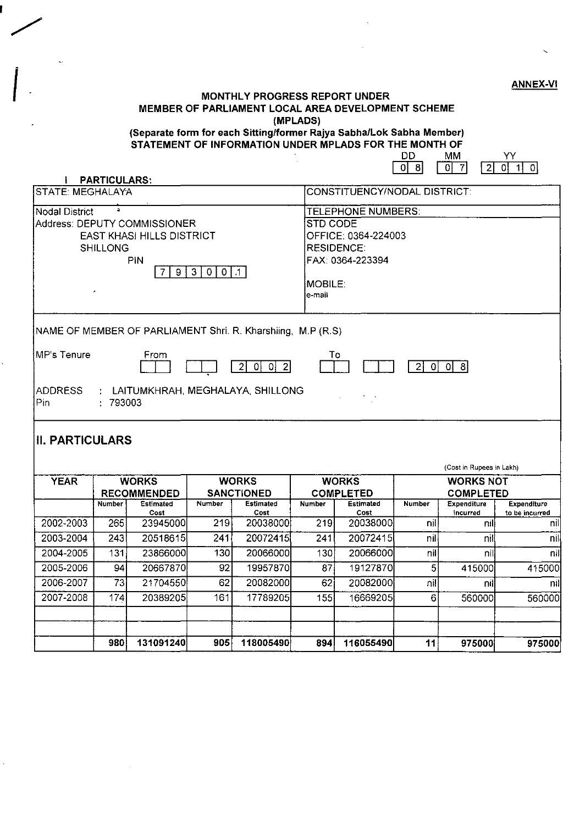# ANNEX-VI CHE THE MONTHLY PROGRESS REPORT UNDER MEMBER OF PARLIAMENT LOCAL AREA DEVELOPMENT SCHEME (MPLADS)

#### (Separate form for each Sitting/former Rajya Sabha/Lok Sabha Member) STATEMENT OF INFORMATION UNDER MPLADS FOR THE MONTH OF

DD MM YY<br>0860767  $\sqrt{18}$ 

| <b>PARTICULARS:</b>                             |                                    |                                                                         |                                   |                                     |                  | ∸⊥<br>.                                                                  |               |                                      |                       |  |  |
|-------------------------------------------------|------------------------------------|-------------------------------------------------------------------------|-----------------------------------|-------------------------------------|------------------|--------------------------------------------------------------------------|---------------|--------------------------------------|-----------------------|--|--|
| <b>STATE: MEGHALAYA</b>                         |                                    |                                                                         |                                   |                                     |                  | CONSTITUENCY/NODAL DISTRICT:                                             |               |                                      |                       |  |  |
| $\Delta$<br><b>Nodal District</b>               |                                    |                                                                         |                                   |                                     |                  | <b>TELEPHONE NUMBERS:</b>                                                |               |                                      |                       |  |  |
|                                                 | <b>SHILLONG</b>                    | Address: DEPUTY COMMISSIONER<br><b>EAST KHASI HILLS DISTRICT</b><br>PIN |                                   |                                     |                  | STD CODE<br>OFFICE: 0364-224003<br><b>RESIDENCE:</b><br>FAX: 0364-223394 |               |                                      |                       |  |  |
| $9 \mid 3$<br>0 0 .1                            |                                    |                                                                         |                                   |                                     |                  | MOBILE.<br>e-mail                                                        |               |                                      |                       |  |  |
|                                                 |                                    | NAME OF MEMBER OF PARLIAMENT Shri. R. Kharshiing, M.P (R.S)             |                                   |                                     |                  |                                                                          |               |                                      |                       |  |  |
| <b>MP's Tenure</b>                              |                                    | From                                                                    |                                   | $ 0 $ $ 0 $ $ 2 $<br>$\overline{2}$ |                  | То                                                                       | 0 <br>21      | - 이 8                                |                       |  |  |
| <b>ADDRESS</b><br>Pin<br><b>II. PARTICULARS</b> | : 793003                           | : LAITUMKHRAH, MEGHALAYA, SHILLONG                                      |                                   |                                     |                  |                                                                          |               |                                      |                       |  |  |
|                                                 |                                    |                                                                         |                                   |                                     |                  |                                                                          |               | (Cost in Rupees in Lakh)             |                       |  |  |
| <b>YEAR</b>                                     | <b>WORKS</b><br><b>RECOMMENDED</b> |                                                                         | <b>WORKS</b><br><b>SANCTIONED</b> |                                     |                  | <b>WORKS</b><br><b>COMPLETED</b>                                         |               | <b>WORKS NOT</b><br><b>COMPLETED</b> |                       |  |  |
|                                                 | Number                             | <b>Estimated</b>                                                        | Number                            | <b>Estimated</b>                    | <b>Number</b>    | Estimated                                                                | <b>Number</b> | <b>Expenditure</b>                   | Expenditure           |  |  |
| 2002-2003                                       | 265                                | Cost<br>23945000                                                        | 219                               | Cost<br>20038000                    | 219              | Cost<br>20038000                                                         | nil           | incurred<br>nil                      | to be incurred<br>nil |  |  |
| 2003-2004                                       | $\overline{243}$                   | 20518615                                                                | 241                               | 20072415                            | $\overline{241}$ | 20072415                                                                 | nil           | nil                                  | nil                   |  |  |
| 2004-2005                                       | 131                                | 23866000                                                                | 130                               | 20066000                            | 130              | 20066000                                                                 | nil           | nil                                  | nil                   |  |  |
| 2005-2006                                       | 94                                 | 20667870                                                                | 92                                | 19957870                            | 87               | 19127870                                                                 | 5             | 415000                               | 415000                |  |  |
| 2006-2007                                       | $\overline{73}$                    | 21704550                                                                | 62                                | 20082000                            | 62               | 20082000                                                                 | nil           | nil                                  | nil                   |  |  |
| 2007-2008                                       | 174                                | 20389205                                                                | 161                               | 17789205                            | 155              | 16669205                                                                 | 6             | 560000                               | 560000                |  |  |
|                                                 | 980                                | 131091240                                                               | 905                               | 118005490                           | 894              | 116055490                                                                | 11            | 975000                               | 975000                |  |  |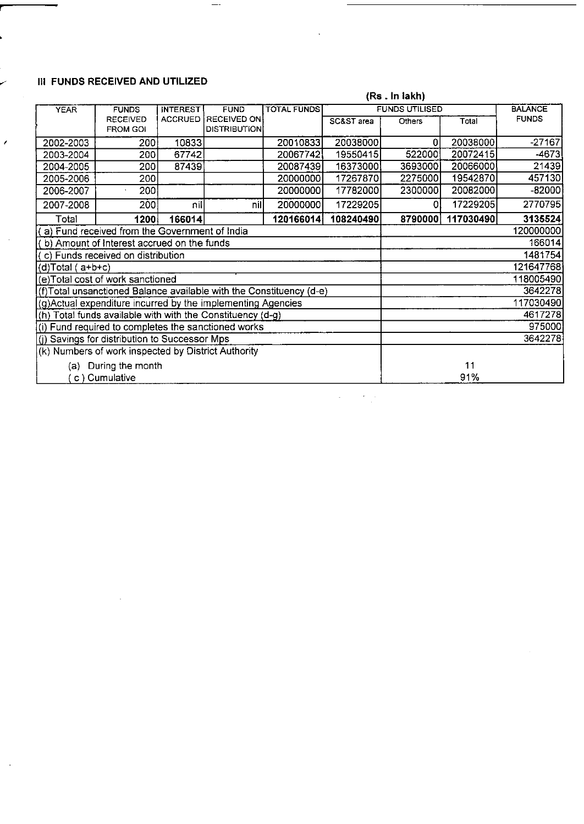#### " **III FUNDS RECEIVED AND UTILIZED**

I

**r** 

|                                             |                                                                                               |                |                     |           |                | (Rs . In lakh) |           |              |  |
|---------------------------------------------|-----------------------------------------------------------------------------------------------|----------------|---------------------|-----------|----------------|----------------|-----------|--------------|--|
| <b>YEAR</b>                                 | <b>FUNDS UTILISED</b><br><b>TOTAL FUNDS</b><br><b>INTEREST</b><br><b>FUNDS</b><br><b>FUND</b> |                |                     |           | <b>BALANCE</b> |                |           |              |  |
|                                             | <b>RECEIVED</b>                                                                               | <b>ACCRUED</b> | RECEIVED ON         |           | SC&ST area     | Others         | Total     | <b>FUNDS</b> |  |
|                                             | <b>FROM GOI</b>                                                                               |                | <b>DISTRIBUTION</b> |           |                |                |           |              |  |
| 2002-2003                                   | 200                                                                                           | 10833          |                     | 20010833  | 20038000       | 0              | 20038000  | $-27167$     |  |
| 2003-2004                                   | 200                                                                                           | 67742          |                     | 20067742  | 19550415       | 522000         | 20072415  | $-4673$      |  |
| 2004-2005                                   | 200                                                                                           | 87439          |                     | 20087439  | 16373000       | 3693000        | 20066000  | 21439        |  |
| 2005-2006                                   | 200                                                                                           |                |                     | 20000000  | 17267870       | 2275000        | 19542870  | 457130       |  |
| 2006-2007                                   | 200                                                                                           |                |                     | 20000000  | 17782000       | 2300000        | 20082000  | -82000       |  |
| 2007-2008                                   | 2001                                                                                          | nill           | nill                | 20000000  | 17229205       | 0              | 17229205  | 2770795      |  |
| Total                                       | 1200                                                                                          | 166014         |                     | 120166014 | 108240490      | 8790000        | 117030490 | 3135524      |  |
|                                             | $(a)$ Fund received from the Government of India                                              |                |                     |           |                |                |           | 120000000    |  |
| (b) Amount of Interest accrued on the funds |                                                                                               |                |                     |           |                |                | 166014    |              |  |
| (c) Funds received on distribution          |                                                                                               |                |                     |           |                |                | 1481754   |              |  |
| $(d)Total (a+b+c)$                          |                                                                                               |                |                     |           |                | 121647768      |           |              |  |
|                                             | (e)Total cost of work sanctioned                                                              |                |                     |           |                | 118005490      |           |              |  |
|                                             | (f)Total unsanctioned Balance available with the Constituency (d-e)                           |                |                     |           |                | 3642278        |           |              |  |
|                                             | (g)Actual expenditure incurred by the implementing Agencies                                   |                |                     |           |                | 117030490      |           |              |  |
|                                             | (h) Total funds available with with the Constituency (d-g)                                    |                | 4617278             |           |                |                |           |              |  |
|                                             | (i) Fund required to completes the sanctioned works                                           | 975000         |                     |           |                |                |           |              |  |
|                                             | (i) Savings for distribution to Successor Mps                                                 |                |                     | 3642278   |                |                |           |              |  |
|                                             | (k) Numbers of work inspected by District Authority                                           |                |                     |           |                |                |           |              |  |
|                                             | (a) During the month                                                                          |                | 11                  |           |                |                |           |              |  |
|                                             | c) Cumulative                                                                                 |                |                     | 91%       |                |                |           |              |  |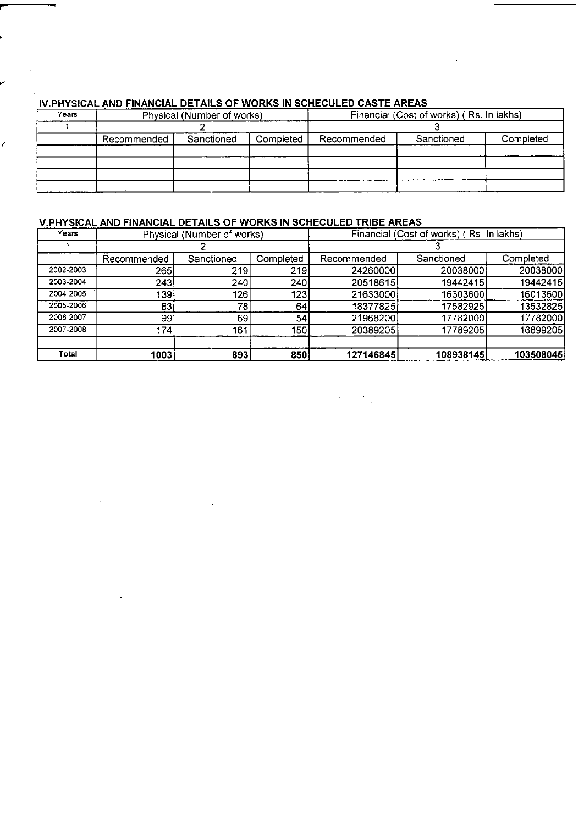| Years |             | Physical (Number of works) |           | Financial (Cost of works) (Rs. In lakhs) |            |           |  |
|-------|-------------|----------------------------|-----------|------------------------------------------|------------|-----------|--|
|       |             |                            |           |                                          |            |           |  |
|       | Recommended | Sanctioned                 | Completed | Recommended                              | Sanctioned | Completed |  |
|       |             |                            |           |                                          |            |           |  |
|       |             |                            |           |                                          |            |           |  |
|       |             |                            |           |                                          |            |           |  |
|       |             |                            |           |                                          |            |           |  |

#### IV **PHYSICAL AND FINANCIAL DETAILS OF WORKS IN SCHECULED CASTE AREAS**

#### **V PHYSICAL AND FINANCIAL DETAILS OF WORKS IN SCHECULED TRIBE AREAS**

| Years     | Physical (Number of works) |            |           | Financial (Cost of works) (Rs. In lakhs) |            |           |  |
|-----------|----------------------------|------------|-----------|------------------------------------------|------------|-----------|--|
|           |                            |            |           |                                          |            |           |  |
|           | Recommended                | Sanctioned | Completed | Recommended                              | Sanctioned | Completed |  |
| 2002-2003 | 265                        | 219        | 219       | 24260000                                 | 20038000   | 20038000  |  |
| 2003-2004 | 243                        | 240        | 240       | 20518615                                 | 19442415   | 19442415  |  |
| 2004-2005 | 139                        | 126        | 123       | 21633000                                 | 16303600   | 16013600  |  |
| 2005-2006 | 83                         | 781        | 64        | 18377825                                 | 17582925   | 13532825  |  |
| 2006-2007 | 991                        | 69         | 54        | 21968200                                 | 17782000   | 17782000  |  |
| 2007-2008 | 174                        | 161        | 150       | 20389205                                 | 17789205   | 16699205  |  |
|           |                            |            |           |                                          |            |           |  |
| Total     | 1003                       | 893        | 850       | 127146845                                | 108938145  | 103508045 |  |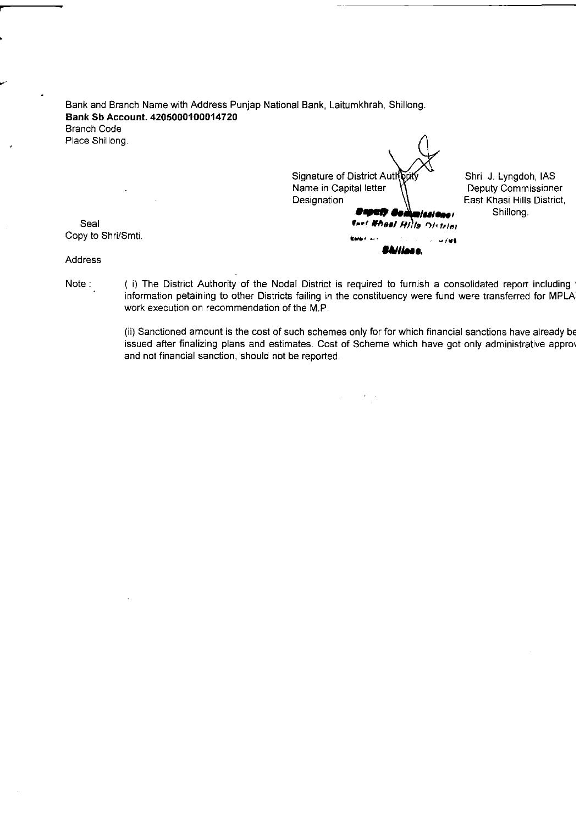Bank and Branch Name with Address Punjap National Bank, Laitumkhrah, Shillong. **Bank Sb Account. 4205000100014720**  Branch Code Place Shillong.

Copy to Shri/Smti. **Allience** and the second of the second of the second of the second of the second of the second of the second of the second of the second of the second of the second of the second of the second of the se Signature of District Authority Control J. Lyngdoh, IAS<br>Name in Capital letter (1) Deputy Commissioner Name in Capital letter<br>Designation **.... ,,,,...'** Shillong. Seal **The Contract of the Contract of the Contract of the Contract of the Contract of the Contract of the Contract of the Contract of the Contract of the Contract of the Contract of the Contract of the Contract of the Cont** 

East Khasi Hills District,

Address

Note: (i) The District Authority of the Nodal District is required to furnish a consolidated report including ' information petaining to other Districts failing in the constituency were fund were transferred for MPLA work execution on recommendation of the M.P.

> (ii) Sanctioned amount is the cost of such schemes only for for which financial sanctions have already be issued after finalizing plans and estimates. Cost of Scheme which have got only administrative appro\ and not financial sanction, should not be reported.